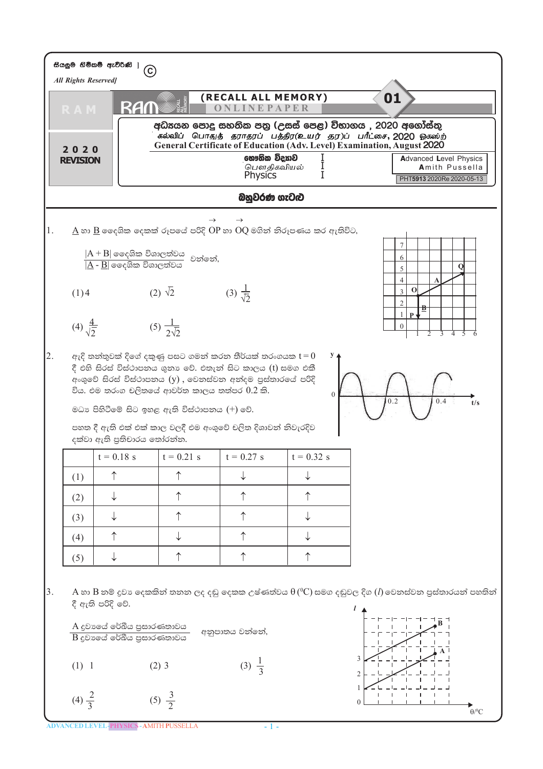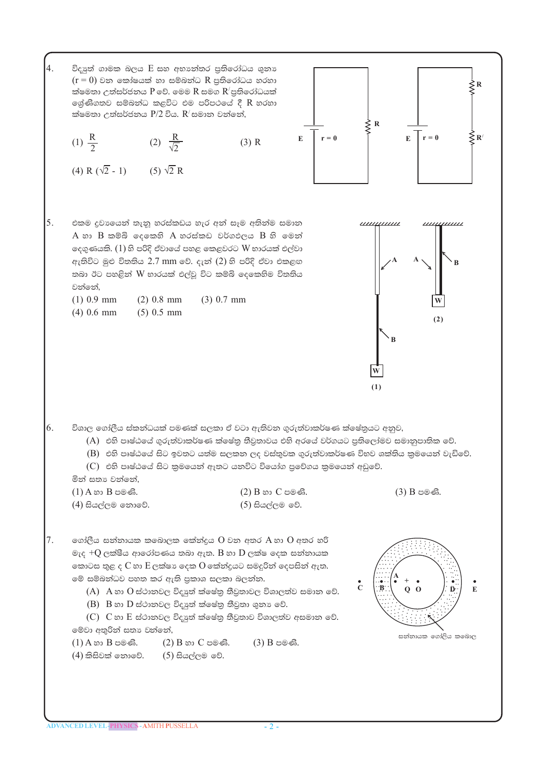4. විදාූත් ගාමක බලය E සහ අභාන්තර පුතිරෝධය ශුනා  $(r = 0)$  වන කෝෂයක් හා සම්බන්ධ R පුතිරෝධය හරහා ක්ෂමතා උත්සර්ජනය  $P$  වේ. මෙම  $R$  සමග  $R'$ පුතිරෝධයක් ලශ්ණිගතව සම්බන්ධ කළවිට එම පරිපථයේ දී R හරහා ක්ෂමතා උත්සර්ජනය  $P/2$  විය.  $R'$ සමාන වන්නේ,  $\leq$  R  $r = 0$ (1)  $\frac{R}{2}$ (2)  $\frac{R}{\sqrt{2}}$  $\mathbf{E}$  $(3)$  R (4) R  $(\sqrt{2} - 1)$  (5)  $\sqrt{2}$  R 5. එකම දුවායෙන් තැනූ හරස්කඩය හැර අන් සෑම අතින්ම සමාන <u>шиннин</u>  $A$  හා  $B$  කම්බි ලෙකෙහි  $A$  හරස්කඩ වර්ගඵලය  $B$  හි මෙන් ලදගුණයකි.  $(1)$ හි පරිදි ඒවායේ පහළ කෙළවරට  $W$  භාරයක් එල්වා ඇතිවිට මුළු විතතිය 2.7 mm වේ. දැන් (2) හි පරිදි ඒවා එකළඟ තබා ඊට පහළින් W භාරයක් එල්වූ විට කම්බි ලදකෙහිම විතතිය වන්නේ.  $(1)$  0.9 mm  $(2)$  0.8 mm  $(3)$  0.7 mm  $(4)$  0.6 mm  $(5)$  0.5 mm  $(1)$ 6. විශාල ගෝලීය ස්කන්ධයක් පමණක් සලකා ඒ වටා ඇතිවන ගුරුත්වාකර්ෂණ ක්ෂේතුයට අනුව, (A) එහි පෘෂ්ඨයේ ගුරුත්වාකර්ෂණ ක්ෂේතු තීවුතාවය එහි අරයේ වර්ගයට පුතිලෝමව සමානුපාතික වේ.  $(B)$  එහි පෘෂ්ඨයේ සිට ඉවතට යත්ම සලකන ලද වස්තුවක ගුරුත්වාකර්ෂණ විහව ශක්තිය කුමයෙන් වැඩිවේ. (C) එහි පෘෂ්ඨයේ සිට කුමයෙන් ඈතට යනවිට වියෝග පුවේගය කුමයෙන් අඩුවේ. මින් සතා වන්නේ,  $(1)$  A හා B පමණි.  $(2)$   $B$  හා  $C$  පමණි.  $(3)$  B පමණි. (4) සියල්ලම නොවේ.  $(5)$  සියල්ලම වේ. 7. ගෝලීය සන්නායක කබොලක කේන්දුය  $0$  වන අතර  $A$  හා  $0$  අතර හරි මැද + $Q$  ලක්ෂීය ආරෝපණය තබා ඇත. B හා  $D$  ලක්ෂ දෙක සන්නායක කොටස තුළ ද  $C$  හා  $E$ ලක්ෂා දෙක  $O$  කේන්දුයට සමදුරින් දෙපසින් ඇත. මේ සම්බන්ධව පහත කර ඇති පුකාශ සලකා බලන්න.  $\tilde{c}$  $\cdot$ B  $(A)$  A හා  $O$  ස්ථානවල විදාූත් ක්ෂේතු තීවුතාවල විශාලත්ව සමාන වේ.  $(B)$  B හා  $D$  ස්ථානවල විදාූත් ක්ෂේතු තීවුතා ශුනා වේ.  $(C)$   $C$  හා  $E$  ස්ථානවල විදාූත් ක්ෂේතු තීවුතාව විශාලත්ව අසමාන වේ. මේවා අතුරින් සතා වන්නේ, සන්නායක ගෝලිය කබොල

 $\dot{\leq}$ R

 $\lessgtr_{\mathbf{R}'}$ 

 $r = 0$ 

111111111111

 $(2)$ 

E.

 $E$ 

- $(1)$  A හා B පමණි. (2) B හා C පමණි.  $(3)$  B පමණි.
- $(4)$  කිසිවක් නොවේ.  $(5)$  සියල්ලම වේ.